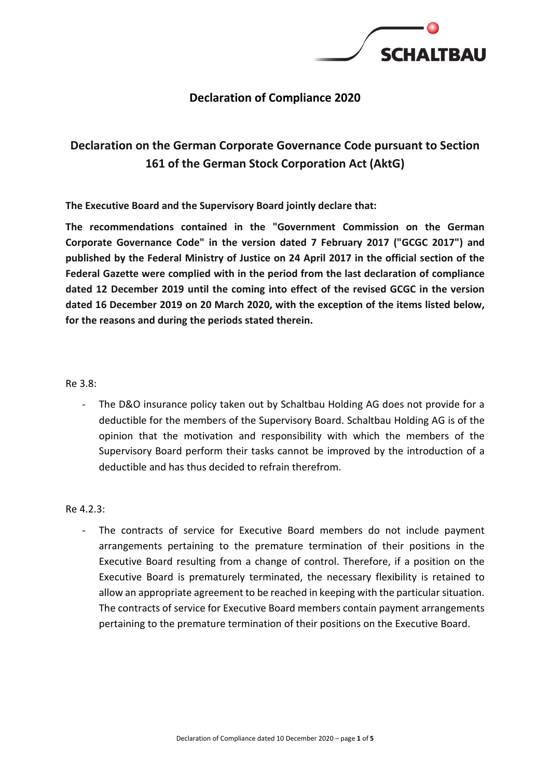

# **Declaration of Compliance 2020**

# **Declaration on the German Corporate Governance Code pursuant to Section 161 of the German Stock Corporation Act (AktG)**

**The Executive Board and the Supervisory Board jointly declare that:**

**The recommendations contained in the "Government Commission on the German Corporate Governance Code" in the version dated 7 February 2017 ("GCGC 2017") and published by the Federal Ministry of Justice on 24 April 2017 in the official section of the Federal Gazette were complied with in the period from the last declaration of compliance dated 12 December 2019 until the coming into effect of the revised GCGC in the version dated 16 December 2019 on 20 March 2020, with the exception of the items listed below, for the reasons and during the periods stated therein.**

## Re 3.8:

The D&O insurance policy taken out by Schaltbau Holding AG does not provide for a deductible for the members of the Supervisory Board. Schaltbau Holding AG is of the opinion that the motivation and responsibility with which the members of the Supervisory Board perform their tasks cannot be improved by the introduction of a deductible and has thus decided to refrain therefrom.

## Re 4.2.3:

- The contracts of service for Executive Board members do not include payment arrangements pertaining to the premature termination of their positions in the Executive Board resulting from a change of control. Therefore, if a position on the Executive Board is prematurely terminated, the necessary flexibility is retained to allow an appropriate agreement to be reached in keeping with the particular situation. The contracts of service for Executive Board members contain payment arrangements pertaining to the premature termination of their positions on the Executive Board.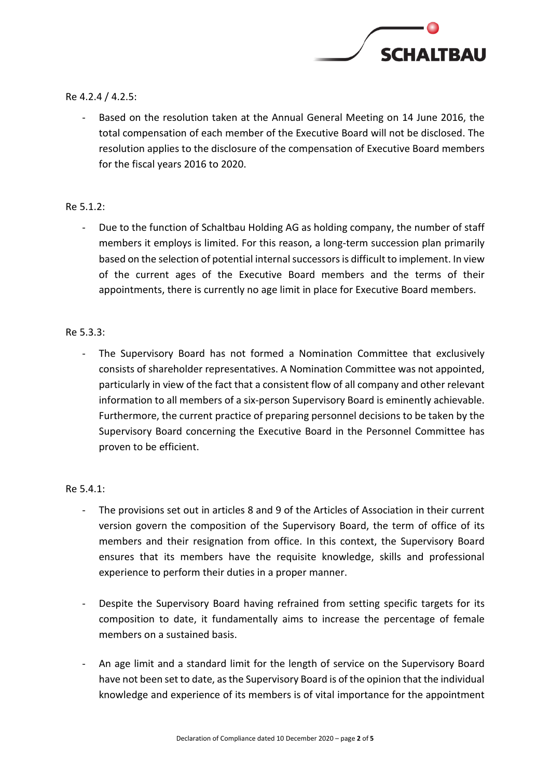

# Re 4.2.4 / 4.2.5:

Based on the resolution taken at the Annual General Meeting on 14 June 2016, the total compensation of each member of the Executive Board will not be disclosed. The resolution applies to the disclosure of the compensation of Executive Board members for the fiscal years 2016 to 2020.

## Re 5.1.2:

- Due to the function of Schaltbau Holding AG as holding company, the number of staff members it employs is limited. For this reason, a long-term succession plan primarily based on the selection of potential internal successors is difficult to implement. In view of the current ages of the Executive Board members and the terms of their appointments, there is currently no age limit in place for Executive Board members.

# Re 5.3.3:

- The Supervisory Board has not formed a Nomination Committee that exclusively consists of shareholder representatives. A Nomination Committee was not appointed, particularly in view of the fact that a consistent flow of all company and other relevant information to all members of a six-person Supervisory Board is eminently achievable. Furthermore, the current practice of preparing personnel decisions to be taken by the Supervisory Board concerning the Executive Board in the Personnel Committee has proven to be efficient.

## Re 5.4.1:

- The provisions set out in articles 8 and 9 of the Articles of Association in their current version govern the composition of the Supervisory Board, the term of office of its members and their resignation from office. In this context, the Supervisory Board ensures that its members have the requisite knowledge, skills and professional experience to perform their duties in a proper manner.
- Despite the Supervisory Board having refrained from setting specific targets for its composition to date, it fundamentally aims to increase the percentage of female members on a sustained basis.
- An age limit and a standard limit for the length of service on the Supervisory Board have not been set to date, asthe Supervisory Board is of the opinion that the individual knowledge and experience of its members is of vital importance for the appointment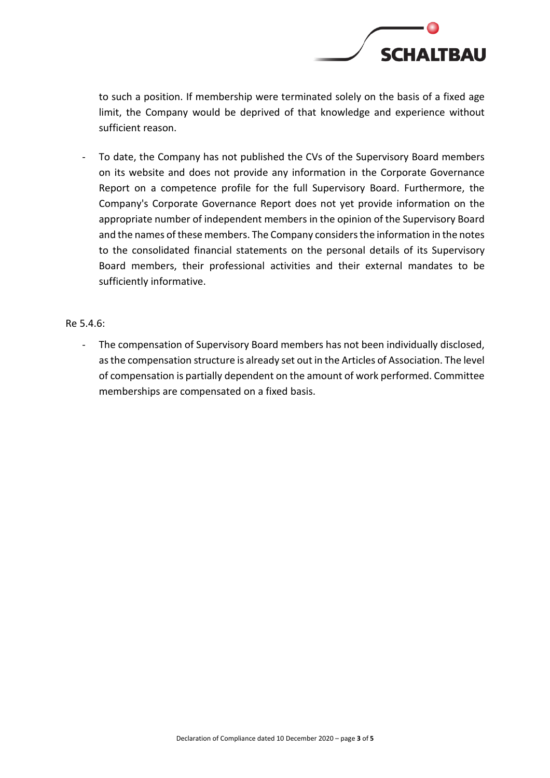

to such a position. If membership were terminated solely on the basis of a fixed age limit, the Company would be deprived of that knowledge and experience without sufficient reason.

- To date, the Company has not published the CVs of the Supervisory Board members on its website and does not provide any information in the Corporate Governance Report on a competence profile for the full Supervisory Board. Furthermore, the Company's Corporate Governance Report does not yet provide information on the appropriate number of independent members in the opinion of the Supervisory Board and the names of these members. The Company considers the information in the notes to the consolidated financial statements on the personal details of its Supervisory Board members, their professional activities and their external mandates to be sufficiently informative.

Re 5.4.6:

- The compensation of Supervisory Board members has not been individually disclosed, asthe compensation structure is already set out in the Articles of Association. The level of compensation is partially dependent on the amount of work performed. Committee memberships are compensated on a fixed basis.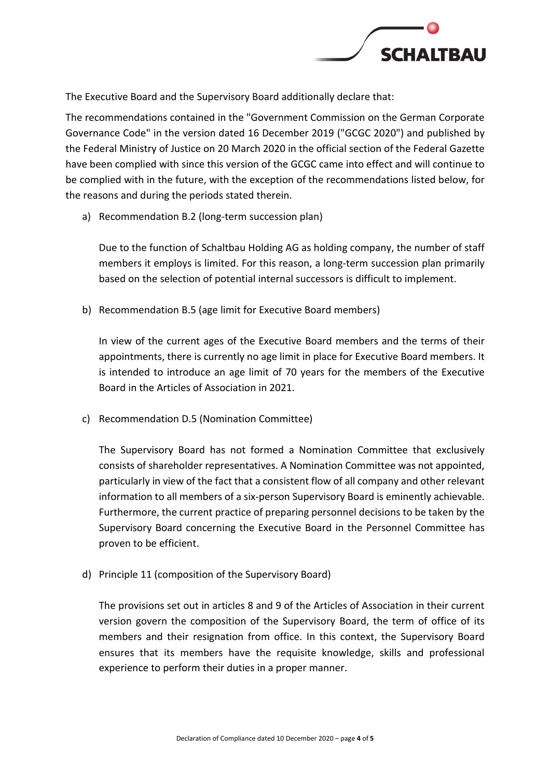

The Executive Board and the Supervisory Board additionally declare that:

The recommendations contained in the "Government Commission on the German Corporate Governance Code" in the version dated 16 December 2019 ("GCGC 2020") and published by the Federal Ministry of Justice on 20 March 2020 in the official section of the Federal Gazette have been complied with since this version of the GCGC came into effect and will continue to be complied with in the future, with the exception of the recommendations listed below, for the reasons and during the periods stated therein.

a) Recommendation B.2 (long-term succession plan)

Due to the function of Schaltbau Holding AG as holding company, the number of staff members it employs is limited. For this reason, a long-term succession plan primarily based on the selection of potential internal successors is difficult to implement.

b) Recommendation B.5 (age limit for Executive Board members)

In view of the current ages of the Executive Board members and the terms of their appointments, there is currently no age limit in place for Executive Board members. It is intended to introduce an age limit of 70 years for the members of the Executive Board in the Articles of Association in 2021.

c) Recommendation D.5 (Nomination Committee)

The Supervisory Board has not formed a Nomination Committee that exclusively consists of shareholder representatives. A Nomination Committee was not appointed, particularly in view of the fact that a consistent flow of all company and other relevant information to all members of a six-person Supervisory Board is eminently achievable. Furthermore, the current practice of preparing personnel decisions to be taken by the Supervisory Board concerning the Executive Board in the Personnel Committee has proven to be efficient.

d) Principle 11 (composition of the Supervisory Board)

The provisions set out in articles 8 and 9 of the Articles of Association in their current version govern the composition of the Supervisory Board, the term of office of its members and their resignation from office. In this context, the Supervisory Board ensures that its members have the requisite knowledge, skills and professional experience to perform their duties in a proper manner.